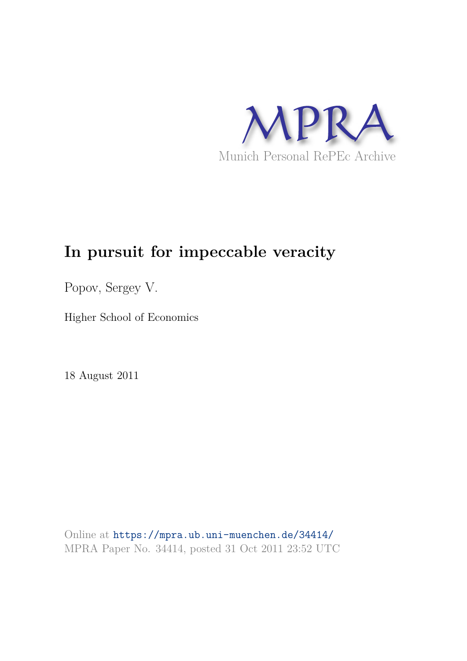

# **In pursuit for impeccable veracity**

Popov, Sergey V.

Higher School of Economics

18 August 2011

Online at https://mpra.ub.uni-muenchen.de/34414/ MPRA Paper No. 34414, posted 31 Oct 2011 23:52 UTC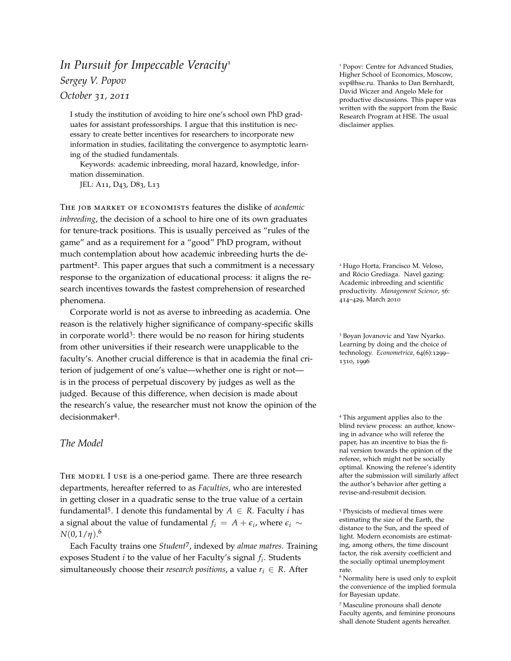## *In Pursuit for Impeccable Veracity*<sup>1</sup> Popov: Centre for Advanced Studies, *Sergey V. Popov October 31, 2011*

I study the institution of avoiding to hire one's school own PhD graduates for assistant professorships. I argue that this institution is necessary to create better incentives for researchers to incorporate new information in studies, facilitating the convergence to asymptotic learning of the studied fundamentals.

Keywords: academic inbreeding, moral hazard, knowledge, information dissemination.

JEL: A11, D43, D83, L13

The job market of economists features the dislike of *academic inbreeding*, the decision of a school to hire one of its own graduates for tenure-track positions. This is usually perceived as "rules of the game" and as a requirement for a "good" PhD program, without much contemplation about how academic inbreeding hurts the department<sup>2</sup>. This paper argues that such a commitment is a necessary **21 augo Horta, Francisco M. Veloso**, response to the organization of educational process: it aligns the research incentives towards the fastest comprehension of researched phenomena.

Corporate world is not as averse to inbreeding as academia. One reason is the relatively higher significance of company-specific skills in corporate world<sup>3</sup>: there would be no reason for hiring students **3 Boyan Jovanovic and Yaw Nyarko**. from other universities if their research were unapplicable to the faculty's. Another crucial difference is that in academia the final criterion of judgement of one's value—whether one is right or not is in the process of perpetual discovery by judges as well as the judged. Because of this difference, when decision is made about the research's value, the researcher must not know the opinion of the decisionmaker<sup>4</sup> .

#### *The Model*

THE MODEL I USE is a one-period game. There are three research departments, hereafter referred to as *Faculties*, who are interested in getting closer in a quadratic sense to the true value of a certain fundamental<sup>5</sup>. I denote this fundamental by  $A \in R$ . Faculty *i* has 5 Physicists of medieval times were a signal about the value of fundamental  $f_i = A + \epsilon_i$ , where  $\epsilon_i \sim$  $N(0, 1/\eta).$ <sup>6</sup>

Each Faculty trains one *Student*<sup>7</sup> , indexed by *almae matres*. Training exposes Student *i* to the value of her Faculty's signal *f<sup>i</sup>* . Students simultaneously choose their *research positions*, a value  $r_i \in R$ . After

Higher School of Economics, Moscow, svp@hse.ru. Thanks to Dan Bernhardt, David Wiczer and Angelo Mele for productive discussions. This paper was written with the support from the Basic Research Program at HSE. The usual disclaimer applies.

and Rócio Grediaga. Navel gazing: Academic inbreeding and scientific productivity. *Management Science*, 56: 414–429, March 2010

Learning by doing and the choice of technology. *Econometrica*, 64(6):1299– 1310, 1996

<sup>4</sup> This argument applies also to the blind review process: an author, knowing in advance who will referee the paper, has an incentive to bias the final version towards the opinion of the referee, which might not be socially optimal. Knowing the referee's identity after the submission will similarly affect the author's behavior after getting a revise-and-resubmit decision.

estimating the size of the Earth, the distance to the Sun, and the speed of light. Modern economists are estimating, among others, the time discount factor, the risk aversity coefficient and the socially optimal unemployment rate.

<sup>6</sup> Normality here is used only to exploit the convenience of the implied formula for Bayesian update.

<sup>7</sup> Masculine pronouns shall denote Faculty agents, and feminine pronouns shall denote Student agents hereafter.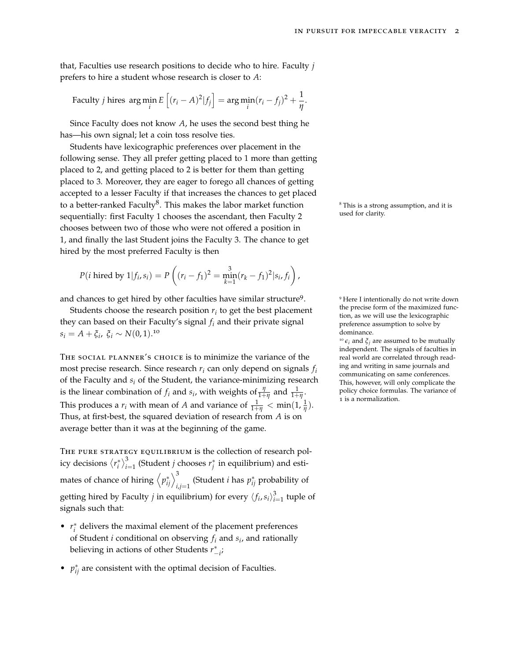that, Faculties use research positions to decide who to hire. Faculty *j* prefers to hire a student whose research is closer to *A*:

$$
\text{Faculty } j \text{ hires } \arg \min_{i} E\left[ (r_i - A)^2 | f_j \right] = \arg \min_{i} (r_i - f_j)^2 + \frac{1}{\eta}.
$$

Since Faculty does not know *A*, he uses the second best thing he has—his own signal; let a coin toss resolve ties.

Students have lexicographic preferences over placement in the following sense. They all prefer getting placed to 1 more than getting placed to 2, and getting placed to 2 is better for them than getting placed to 3. Moreover, they are eager to forego all chances of getting accepted to a lesser Faculty if that increases the chances to get placed to a better-ranked Faculty<sup>8</sup>. This makes the labor market function  $\blacksquare$ <sup>8</sup> This is a strong assumption, and it is sequentially: first Faculty 1 chooses the ascendant, then Faculty 2 used for clarity. chooses between two of those who were not offered a position in 1, and finally the last Student joins the Faculty 3. The chance to get hired by the most preferred Faculty is then

$$
P(i \text{ hired by } 1 | f_i, s_i) = P\left((r_i - f_1)^2 = \min_{k=1}^3 (r_k - f_1)^2 | s_i, f_i\right),
$$

and chances to get hired by other faculties have similar structure<sup>9</sup>.

Students choose the research position *r<sup>i</sup>* to get the best placement they can based on their Faculty's signal *f<sup>i</sup>* and their private signal  $s_i = A + \xi_i$ ,  $\xi_i \sim N(0, 1)$ .<sup>10</sup>

THE SOCIAL PLANNER'S CHOICE is to minimize the variance of the most precise research. Since research *r<sup>i</sup>* can only depend on signals *f<sup>i</sup>* of the Faculty and *s<sup>i</sup>* of the Student, the variance-minimizing research is the linear combination of  $f_i$  and  $s_i$ , with weights of  $\frac{\eta}{1+\eta}$  and  $\frac{1}{1+\eta}$ . This produces a  $r_i$  with mean of *A* and variance of  $\frac{1}{1+\eta} < \min(1, \frac{1}{\eta})$ . Thus, at first-best, the squared deviation of research from *A* is on average better than it was at the beginning of the game.

The pure strategy equilibrium is the collection of research policy decisions  $\left\langle r_i^* \right\rangle_{i=1}^3$  (Student *j* chooses  $r_j^*$  in equilibrium) and estimates of chance of hiring  $\left\langle p_{ij}^* \right\rangle_{i,j=1}^3$  (Student *i* has  $p_{ij}^*$  probability of getting hired by Faculty *j* in equilibrium) for every  $\langle f_i, s_i \rangle_{i=1}^3$  tuple of signals such that:

- $r_i^*$  delivers the maximal element of the placement preferences of Student *i* conditional on observing *f<sup>i</sup>* and *s<sup>i</sup>* , and rationally believing in actions of other Students  $r^*_{-i}$ ;
- $p_{ij}^*$  are consistent with the optimal decision of Faculties.

<sup>9</sup> Here I intentionally do not write down the precise form of the maximized function, as we will use the lexicographic preference assumption to solve by dominance.

<sup>10</sup>  $\epsilon_i$  and  $\zeta_i$  are assumed to be mutually independent. The signals of faculties in real world are correlated through reading and writing in same journals and communicating on same conferences. This, however, will only complicate the policy choice formulas. The variance of 1 is a normalization.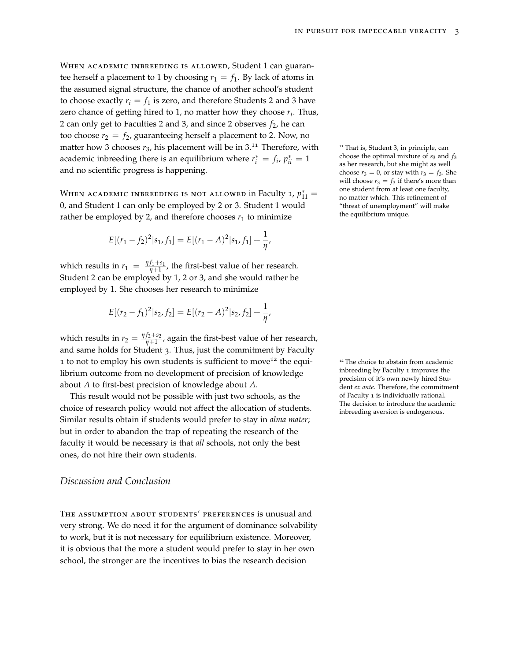When academic inbreeding is allowed, Student 1 can guarantee herself a placement to 1 by choosing  $r_1 = f_1$ . By lack of atoms in the assumed signal structure, the chance of another school's student to choose exactly  $r_i = f_1$  is zero, and therefore Students 2 and 3 have zero chance of getting hired to 1, no matter how they choose *r<sup>i</sup>* . Thus, 2 can only get to Faculties 2 and 3, and since 2 observes *f*2, he can too choose  $r_2 = f_2$ , guaranteeing herself a placement to 2. Now, no matter how 3 chooses  $r_3$ , his placement will be in  $3<sup>11</sup>$  Therefore, with  $1<sup>11</sup>$  That is, Student 3, in principle, can academic inbreeding there is an equilibrium where  $r_i^* = f_i$ ,  $p_{ii}^* = 1$ and no scientific progress is happening.

WHEN ACADEMIC INBREEDING IS NOT ALLOWED in Faculty 1,  $p_{11}^* =$ 0, and Student 1 can only be employed by 2 or 3. Student 1 would rather be employed by 2, and therefore chooses  $r_1$  to minimize

$$
E[(r_1 - f_2)^2 | s_1, f_1] = E[(r_1 - A)^2 | s_1, f_1] + \frac{1}{\eta},
$$

which results in  $r_1 = \frac{\eta f_1 + s_1}{\eta + 1}$ , the first-best value of her research. Student 2 can be employed by 1, 2 or 3, and she would rather be employed by 1. She chooses her research to minimize

$$
E[(r_2 - f_1)^2 | s_2, f_2] = E[(r_2 - A)^2 | s_2, f_2] + \frac{1}{\eta},
$$

which results in  $r_2 = \frac{\eta f_2 + s_2}{\eta + 1}$ , again the first-best value of her research, and same holds for Student 3. Thus, just the commitment by Faculty 1 to not to employ his own students is sufficient to move<sup>12</sup> the equi-<br><sup>12</sup> The choice to abstain from academic librium outcome from no development of precision of knowledge about *A* to first-best precision of knowledge about *A*.

This result would not be possible with just two schools, as the choice of research policy would not affect the allocation of students. Similar results obtain if students would prefer to stay in *alma mater*; but in order to abandon the trap of repeating the research of the faculty it would be necessary is that *all* schools, not only the best ones, do not hire their own students.

### *Discussion and Conclusion*

The assumption about students' preferences is unusual and very strong. We do need it for the argument of dominance solvability to work, but it is not necessary for equilibrium existence. Moreover, it is obvious that the more a student would prefer to stay in her own school, the stronger are the incentives to bias the research decision

choose the optimal mixture of *s*<sup>3</sup> and *f*<sup>3</sup> as her research, but she might as well choose  $r_3 = 0$ , or stay with  $r_3 = f_3$ . She will choose  $r_3 = f_3$  if there's more than one student from at least one faculty, no matter which. This refinement of "threat of unemployment" will make the equilibrium unique.

inbreeding by Faculty 1 improves the precision of it's own newly hired Student *ex ante*. Therefore, the commitment of Faculty 1 is individually rational. The decision to introduce the academic inbreeding aversion is endogenous.